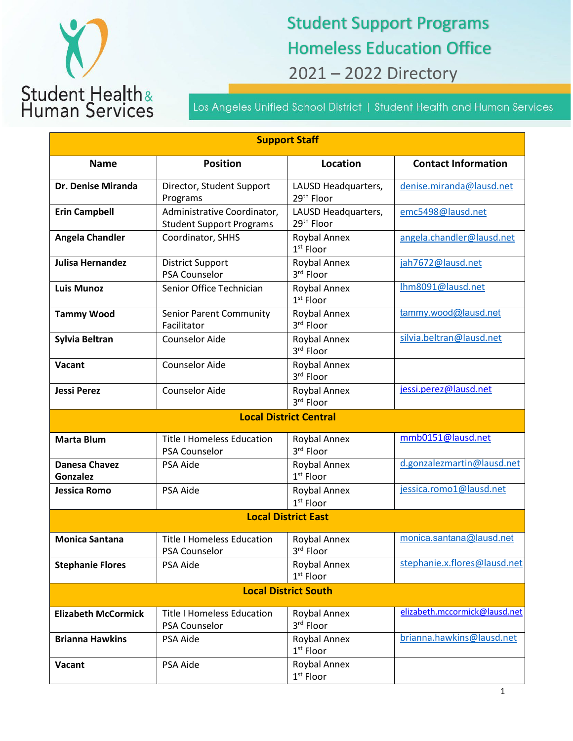

## Student Support Programs Homeless Education Office 2021 – 2022 Directory

Los Angeles Unified School District | Student Health and Human Services

| <b>Support Staff</b>                    |                                                                |                                               |                               |  |  |
|-----------------------------------------|----------------------------------------------------------------|-----------------------------------------------|-------------------------------|--|--|
| <b>Name</b>                             | <b>Position</b>                                                | <b>Location</b>                               | <b>Contact Information</b>    |  |  |
| Dr. Denise Miranda                      | Director, Student Support<br>Programs                          | LAUSD Headquarters,<br>29 <sup>th</sup> Floor | denise.miranda@lausd.net      |  |  |
| <b>Erin Campbell</b>                    | Administrative Coordinator,<br><b>Student Support Programs</b> | LAUSD Headquarters,<br>29 <sup>th</sup> Floor | emc5498@lausd.net             |  |  |
| <b>Angela Chandler</b>                  | Coordinator, SHHS                                              | Roybal Annex<br>$1st$ Floor                   | angela.chandler@lausd.net     |  |  |
| <b>Julisa Hernandez</b>                 | <b>District Support</b><br><b>PSA Counselor</b>                | Roybal Annex<br>3rd Floor                     | jah7672@lausd.net             |  |  |
| <b>Luis Munoz</b>                       | Senior Office Technician                                       | Roybal Annex<br>$1st$ Floor                   | Ihm8091@lausd.net             |  |  |
| <b>Tammy Wood</b>                       | Senior Parent Community<br>Facilitator                         | Roybal Annex<br>3rd Floor                     | tammy.wood@lausd.net          |  |  |
| <b>Sylvia Beltran</b>                   | <b>Counselor Aide</b>                                          | Roybal Annex<br>3rd Floor                     | silvia.beltran@lausd.net      |  |  |
| Vacant                                  | <b>Counselor Aide</b>                                          | Roybal Annex<br>3rd Floor                     |                               |  |  |
| <b>Jessi Perez</b>                      | <b>Counselor Aide</b>                                          | Roybal Annex<br>3rd Floor                     | jessi.perez@lausd.net         |  |  |
| <b>Local District Central</b>           |                                                                |                                               |                               |  |  |
| <b>Marta Blum</b>                       | <b>Title I Homeless Education</b><br>PSA Counselor             | Roybal Annex<br>3rd Floor                     | mmb0151@lausd.net             |  |  |
| <b>Danesa Chavez</b><br><b>Gonzalez</b> | PSA Aide                                                       | Roybal Annex<br>1 <sup>st</sup> Floor         | d.gonzalezmartin@lausd.net    |  |  |
| <b>Jessica Romo</b>                     | PSA Aide                                                       | Roybal Annex<br>$1st$ Floor                   | jessica.romo1@lausd.net       |  |  |
| <b>Local District East</b>              |                                                                |                                               |                               |  |  |
| <b>Monica Santana</b>                   | <b>Title I Homeless Education</b><br>PSA Counselor             | Roybal Annex<br>3 <sup>ru</sup> Floor         | monica.santana@lausd.net      |  |  |
| <b>Stephanie Flores</b>                 | PSA Aide                                                       | Roybal Annex<br>$1st$ Floor                   | stephanie.x.flores@lausd.net  |  |  |
| <b>Local District South</b>             |                                                                |                                               |                               |  |  |
| <b>Elizabeth McCormick</b>              | <b>Title I Homeless Education</b><br>PSA Counselor             | Roybal Annex<br>3rd Floor                     | elizabeth.mccormick@lausd.net |  |  |
| <b>Brianna Hawkins</b>                  | PSA Aide                                                       | Roybal Annex<br>$1st$ Floor                   | brianna.hawkins@lausd.net     |  |  |
| Vacant                                  | PSA Aide                                                       | Roybal Annex<br>$1st$ Floor                   |                               |  |  |